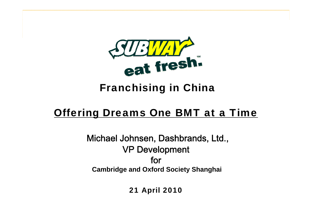

## Franchising in China

## <u>Offering Dreams One BMT at a Time</u>

Michael Johnsen, Dashbrands, Ltd., VP Development for**Cambridge and Oxford Society Shanghai**

21 April 2010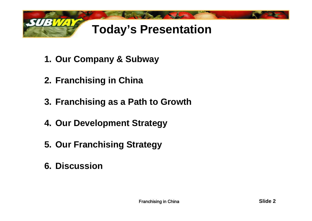

- **1. Our Company & Subway**
- **2. Franchising in China**
- **3. Franchising as a Path to Growth**
- **4. Our Development Strategy**
- **5. Our Franchising Strategy**
- **6. Discussion**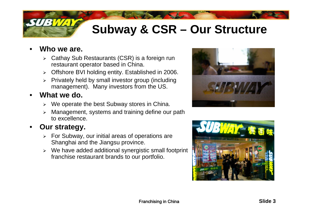# **Subway & CSR – Our Structure**

### •**Who we are.**

- $\triangleright$  Cathay Sub Restaurants (CSR) is a foreign run restaurant operator based in China.
- ¾ Offshore BVI holding entity. Established in 2006.
- ¾ Privately held by small investor group (including management). Many investors from the US.

### •**What we do.**

- $\triangleright$  We operate the best Subway stores in China.
- $\blacktriangleright$ Management, systems and training define our path to excellence.

### •**Our strategy.**

- $\triangleright$  For Subway, our initial areas of operations are Shanghai and the Jiangsu province.
- ¾ We have added additional synergistic small footprint franchise restaurant brands to our portfolio.



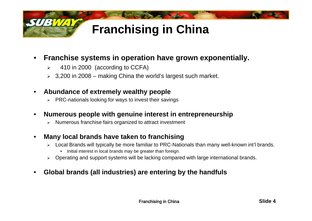

### •Franchise systems in operation have grown exponentially.

- $\triangleright$ 410 in 2000 (according to CCFA)
- $\geq 3,200$  in 2008 making China the world's largest such market.

#### •**Abundance of extremely wealthy people**

¾ PRC-nationals looking for ways to invest their savings

#### •**Numerous people with genuine interest in entrepreneurship**

¾ Numerous franchise fairs organized to attract investment

#### •Many local brands have taken to franchising

- ¾ Local Brands will typically be more familiar to PRC-Nationals than many well-known int'l brands.
	- $\bullet$ Initial interest in local brands may be greater than foreign.
- ¾ Operating and support systems will be lacking compared with large international brands.

### •**Global brands (all industries) are entering by the handfuls**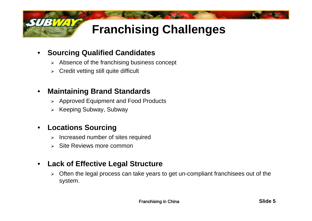

### •**Sourcing Qualified Candidates**

- $\triangleright$  Absence of the franchising business concept
- ¾ Credit vetting still quite difficult

### $\bullet$ **Maintaining Brand Standards**

- ¾ Approved Equipment and Food Products
- ¾ Keeping Subway Subway Subway,

### •**Locations Sourcing**

- $\blacktriangleright$ Increased number of sites required
- ¾ Site Reviews more common

### •**Lack of Effective Legal Structure**

¾ Often the legal process can take years to get un-compliant franchisees out of the system.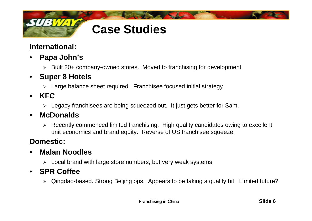

### **International:**

- • **Papa John's**
	- ¾ Built 20+ company-owned stores. Moved to franchising for development.

### •**Super 8 Hotels**

- $\triangleright$  Large balance sheet required. Franchisee focused initial strategy.
- • **KFC**
	- ¾ Legacy franchisees are being squeezed out. It just gets better for Sam.

### •**McDonalds**

¾ Recently commenced limited franchising. High quality candidates owing to excellent unit economics and brand equity. Reverse of US franchisee squeeze.

### **Domestic:**

### •**Malan Noodles**

 $\triangleright$  Local brand with large store numbers, but very weak systems

### • **SPR Coffee**

¾ Qingdao-based. Strong Beijing ops. Appears to be taking a quality hit. Limited future?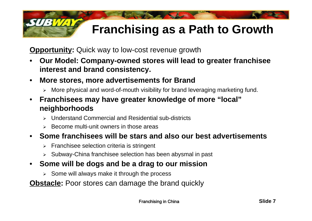# **Franchising as a Path to Growth**

**Opportunity:** Quick way to low-cost revenue growth

- • **Our Model: Company Company-owned stores will lead to greater franchisee owned interest and brand consistency.**
- • **More stores, more advertisements for Brand**
	- ¾ More physical and word-of-mouth visibility for brand leveraging marketing fund.
- • **Franchisees may have greater knowledge of more "local" neighborhoods**
	- ¾Understand Commercial and Residential sub-districts
	- $\triangleright$  Become multi-unit owners in those areas
- **Some franchisees will be stars and also our best advertisements**
	- ¾ Franchisee selection criteria is stringent
	- ¾ Subway-China franchisee selection has been abysmal in past
- **Some will be dogs and be a drag to our mission**
	- $\triangleright$  Some will always make it through the process

**Obstacle:** Poor stores can damage the brand quickly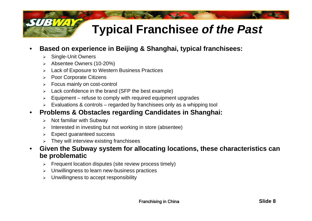## **Typical Franchisee** *of the Past*

- • **Based on experience in Beijing & Shanghai, typical franchisees:**
	- $\triangleright$ Single-Unit Owners
	- ¾Absentee Owners (10-20%)
	- ¾Lack of Exposure to Western Business Practices
	- $\triangleright$ Poor Corporate Citizens
	- ¾Focus mainly on cost-control
	- ¾Lack confidence in the brand (SFP the best example)
	- $\triangleright$ Equipment – refuse to comply with required equipment upgrades
	- ¾ Evaluations & controls regarded by franchisees only as a whipping tool
- $\bullet$ • Problems & Obstacles regarding Candidates in Shanghai:
	- $\triangleright$ Not familiar with Subway
	- $\triangleright$ Interested in investing but not working in store (absentee)
	- $\blacktriangleright$ Expect guaranteed success
	- ¾They will interview existing franchisees
- • **Given the Subway system for allocating locations, these characteristics can be problematic**
	- ¾Frequent location disputes (site review process timely)
	- $\triangleright$ Unwillingness to learn new-business practices
	- ¾Unwillingness to accept responsibility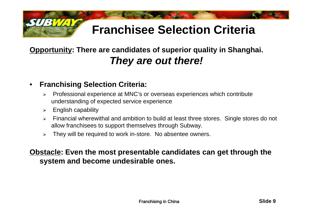# **Franchisee Selection Criteria**

## **Opportunity: There are candidates of superior quality in Shanghai.**  *They are out there!*

### $\bullet$ **Franchising Selection Criteria:**

- $\blacktriangleright$  Professional experience at MNC's or overseas experiences which contribute understanding of expected service experience
- $\blacktriangleright$ English capability
- ¾ Financial wherewithal and ambition to build at least three stores. Single stores do not allow franchisees to support themselves through Subway.
- $\blacktriangleright$ They will be required to work in-store. No absentee owners.

### **Obstacle: Even the most presentable candidates can get through the system and become undesirable ones ones.**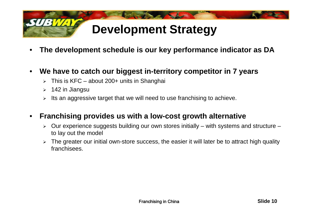

- •**The development schedule is our key performance indicator as DA**
- • **We have to catch our biggest in-territory competitor in 7 years**
	- ¾ This is KFC about 200+ units in Shanghai
	- $\blacktriangleright$ 142 in Jiangsu
	- $\blacktriangleright$ Its an aggressive target that we will need to use franchising to achieve.

### •**Franchising provides us with a low-cost growth alternative**

- $\blacktriangleright$  Our experience suggests building our own stores initially – with systems and structure – to lay out the model
- ¾ The greater our initial own-store success, the easier it will later be to attract high quality franchisees.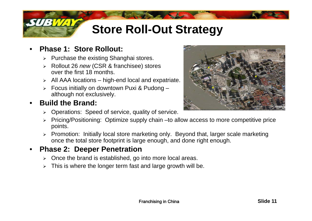# **Store Roll-Out Strategy**

### •**Phase 1: Store Rollout:**

- $\triangleright$  Purchase the existing Shanghai stores.
- ¾ Rollout 26 *new* (CSR & franchisee) stores over the first 18 months.
- $\triangleright$  All AAA locations high-end local and expatriate.
- ¾ Focus initially on downtown Puxi & Pudong – although not exclusively.

### •**Build the Brand:**

- $\triangleright$  Operations: Speed of service, quality of service.
- ¾ Pricing/Positioning: Optimize supply chain –to allow access to more competitive price points.
- $\triangleright$  Promotion: Initially local store marketing only. Beyond that, larger scale marketing once the total store footprint is large enough, and done right enough.

### •**Phase 2: Deeper Penetration**

- $\triangleright$  Once the brand is established, go into more local areas.
- $\blacktriangleright$ This is where the longer term fast and large growth will be.

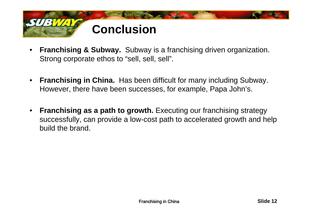

- • **Franchising & Subway.** Subway is a franchising driven organization. Strong corporate ethos to "sell, sell, sell".
- • **Franchising in China.** Has been difficult for many including Subway. However, there have been successes, for example, Papa John's.
- **Franchising as <sup>a</sup> path to growth growth.** Executing our franchising strategy successfully, can provide a low-cost path to accelerated growth and help build the brand.